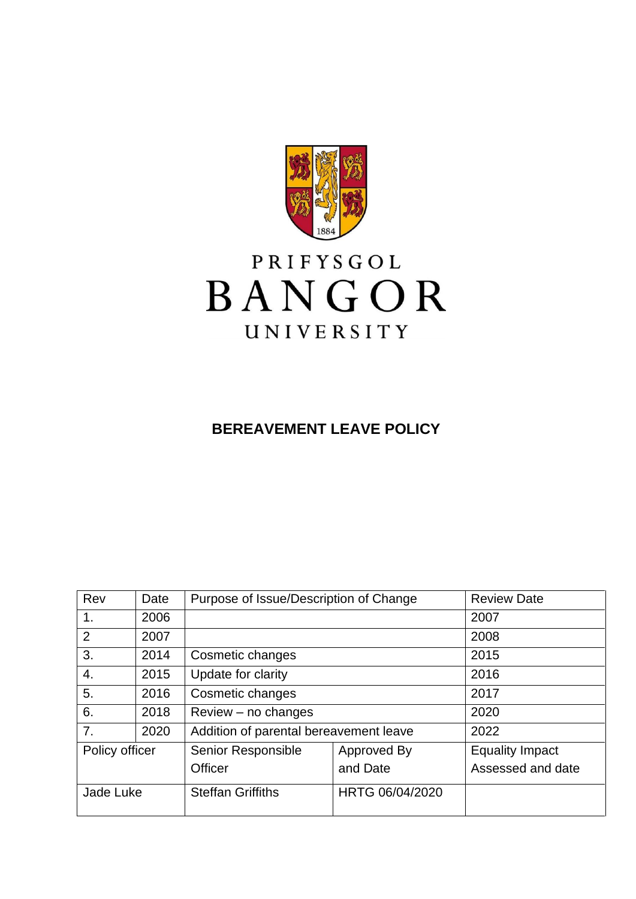

# PRIFYSGOL BANGOR UNIVERSITY

## **BEREAVEMENT LEAVE POLICY**

| Rev            | Date | Purpose of Issue/Description of Change |                 | <b>Review Date</b>     |
|----------------|------|----------------------------------------|-----------------|------------------------|
| 1.             | 2006 |                                        |                 | 2007                   |
| 2              | 2007 |                                        |                 | 2008                   |
| 3.             | 2014 | Cosmetic changes                       |                 | 2015                   |
| 4.             | 2015 | Update for clarity                     |                 | 2016                   |
| 5.             | 2016 | Cosmetic changes                       |                 | 2017                   |
| 6.             | 2018 | $Review - no changes$                  |                 | 2020                   |
| 7.             | 2020 | Addition of parental bereavement leave |                 | 2022                   |
| Policy officer |      | Senior Responsible                     | Approved By     | <b>Equality Impact</b> |
|                |      | <b>Officer</b>                         | and Date        | Assessed and date      |
| Jade Luke      |      | <b>Steffan Griffiths</b>               | HRTG 06/04/2020 |                        |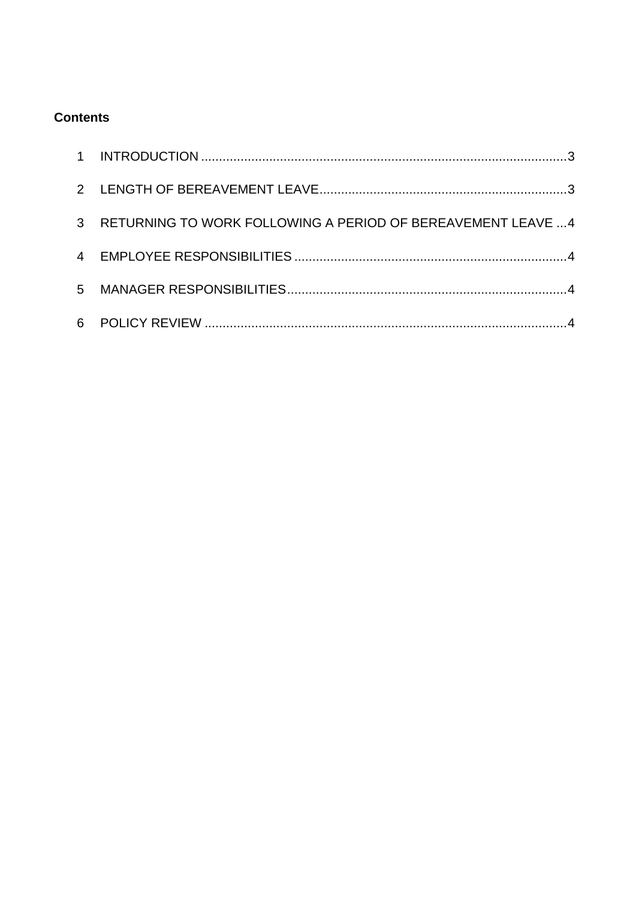### **Contents**

| 3 RETURNING TO WORK FOLLOWING A PERIOD OF BEREAVEMENT LEAVE  4 |  |
|----------------------------------------------------------------|--|
|                                                                |  |
|                                                                |  |
|                                                                |  |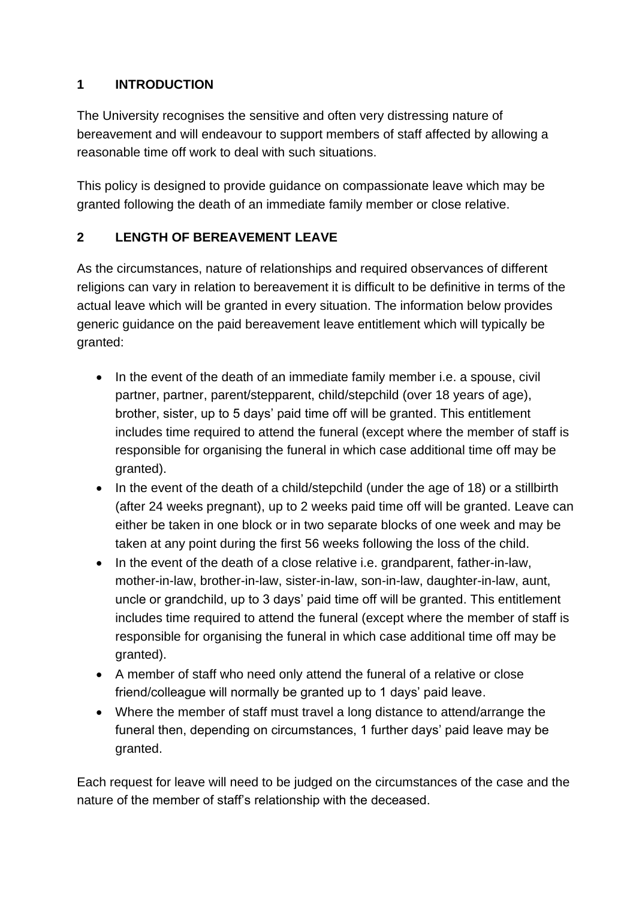## <span id="page-2-0"></span>**1 INTRODUCTION**

The University recognises the sensitive and often very distressing nature of bereavement and will endeavour to support members of staff affected by allowing a reasonable time off work to deal with such situations.

This policy is designed to provide guidance on compassionate leave which may be granted following the death of an immediate family member or close relative.

## <span id="page-2-1"></span>**2 LENGTH OF BEREAVEMENT LEAVE**

As the circumstances, nature of relationships and required observances of different religions can vary in relation to bereavement it is difficult to be definitive in terms of the actual leave which will be granted in every situation. The information below provides generic guidance on the paid bereavement leave entitlement which will typically be granted:

- In the event of the death of an immediate family member i.e. a spouse, civil partner, partner, parent/stepparent, child/stepchild (over 18 years of age), brother, sister, up to 5 days' paid time off will be granted. This entitlement includes time required to attend the funeral (except where the member of staff is responsible for organising the funeral in which case additional time off may be granted).
- In the event of the death of a child/stepchild (under the age of 18) or a stillbirth (after 24 weeks pregnant), up to 2 weeks paid time off will be granted. Leave can either be taken in one block or in two separate blocks of one week and may be taken at any point during the first 56 weeks following the loss of the child.
- In the event of the death of a close relative i.e. grandparent, father-in-law, mother-in-law, brother-in-law, sister-in-law, son-in-law, daughter-in-law, aunt, uncle or grandchild, up to 3 days' paid time off will be granted. This entitlement includes time required to attend the funeral (except where the member of staff is responsible for organising the funeral in which case additional time off may be granted).
- A member of staff who need only attend the funeral of a relative or close friend/colleague will normally be granted up to 1 days' paid leave.
- Where the member of staff must travel a long distance to attend/arrange the funeral then, depending on circumstances, 1 further days' paid leave may be granted.

Each request for leave will need to be judged on the circumstances of the case and the nature of the member of staff's relationship with the deceased.